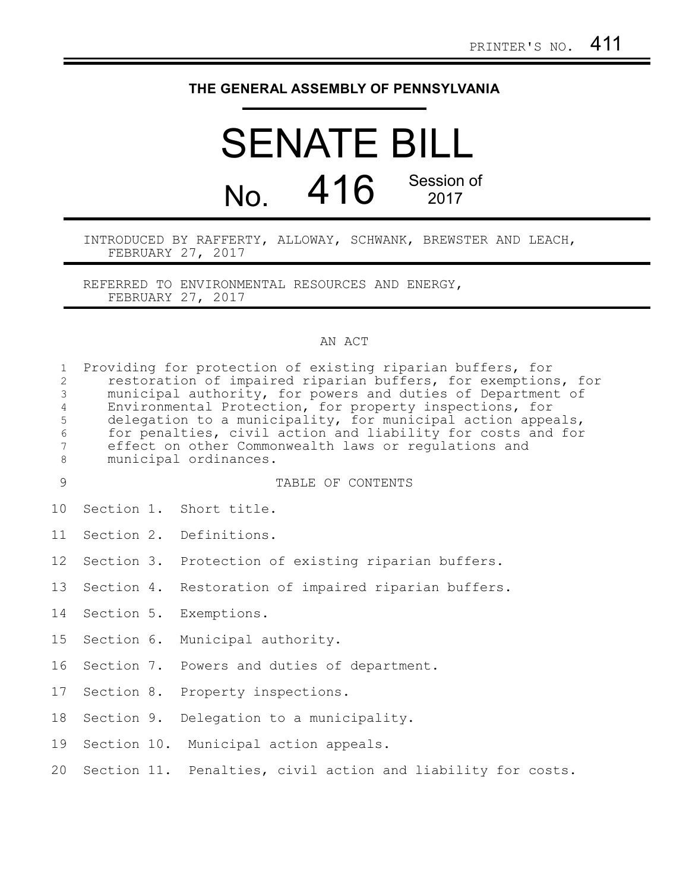## **THE GENERAL ASSEMBLY OF PENNSYLVANIA**

## SENATE BILL No. 416 Session of

INTRODUCED BY RAFFERTY, ALLOWAY, SCHWANK, BREWSTER AND LEACH, FEBRUARY 27, 2017

REFERRED TO ENVIRONMENTAL RESOURCES AND ENERGY, FEBRUARY 27, 2017

## AN ACT

| $\mathbf{1}$<br>2<br>$\mathfrak{Z}$<br>$\overline{4}$<br>$\mathsf S$<br>$\epsilon$<br>7<br>8 | Providing for protection of existing riparian buffers, for<br>restoration of impaired riparian buffers, for exemptions, for<br>municipal authority, for powers and duties of Department of<br>Environmental Protection, for property inspections, for<br>delegation to a municipality, for municipal action appeals,<br>for penalties, civil action and liability for costs and for<br>effect on other Commonwealth laws or regulations and<br>municipal ordinances. |  |                                                              |
|----------------------------------------------------------------------------------------------|----------------------------------------------------------------------------------------------------------------------------------------------------------------------------------------------------------------------------------------------------------------------------------------------------------------------------------------------------------------------------------------------------------------------------------------------------------------------|--|--------------------------------------------------------------|
| 9                                                                                            |                                                                                                                                                                                                                                                                                                                                                                                                                                                                      |  | TABLE OF CONTENTS                                            |
| 10                                                                                           |                                                                                                                                                                                                                                                                                                                                                                                                                                                                      |  | Section 1. Short title.                                      |
| 11                                                                                           |                                                                                                                                                                                                                                                                                                                                                                                                                                                                      |  | Section 2. Definitions.                                      |
| 12 <sup>°</sup>                                                                              |                                                                                                                                                                                                                                                                                                                                                                                                                                                                      |  | Section 3. Protection of existing riparian buffers.          |
| 13                                                                                           |                                                                                                                                                                                                                                                                                                                                                                                                                                                                      |  | Section 4. Restoration of impaired riparian buffers.         |
| 14                                                                                           |                                                                                                                                                                                                                                                                                                                                                                                                                                                                      |  | Section 5. Exemptions.                                       |
| 15 <sub>1</sub>                                                                              |                                                                                                                                                                                                                                                                                                                                                                                                                                                                      |  | Section 6. Municipal authority.                              |
| 16                                                                                           |                                                                                                                                                                                                                                                                                                                                                                                                                                                                      |  | Section 7. Powers and duties of department.                  |
| 17                                                                                           |                                                                                                                                                                                                                                                                                                                                                                                                                                                                      |  | Section 8. Property inspections.                             |
| 18                                                                                           |                                                                                                                                                                                                                                                                                                                                                                                                                                                                      |  | Section 9. Delegation to a municipality.                     |
| 19                                                                                           |                                                                                                                                                                                                                                                                                                                                                                                                                                                                      |  | Section 10. Municipal action appeals.                        |
| 20                                                                                           |                                                                                                                                                                                                                                                                                                                                                                                                                                                                      |  | Section 11. Penalties, civil action and liability for costs. |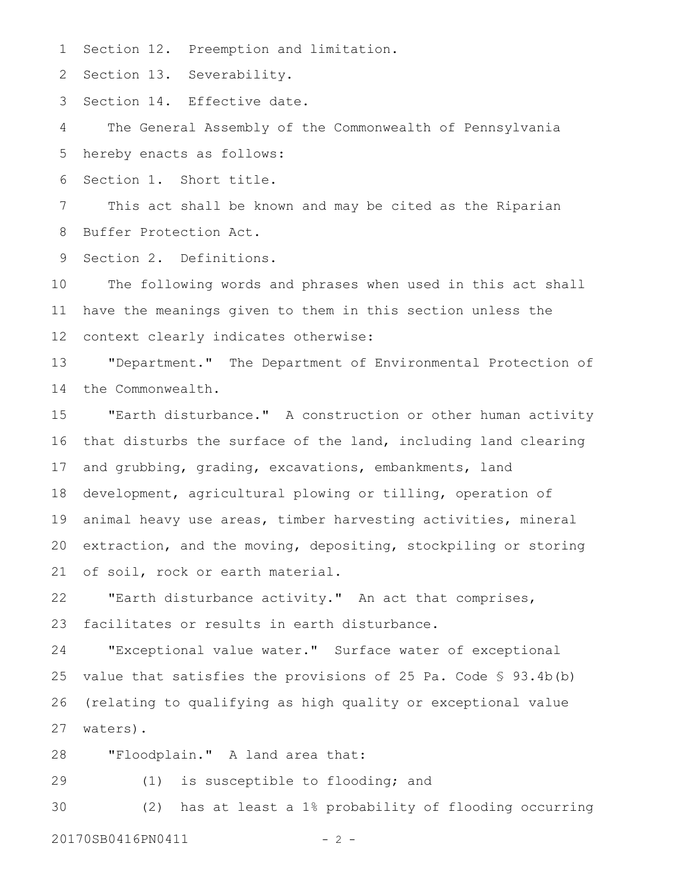Section 12. Preemption and limitation. 1

2 Section 13. Severability.

3 Section 14. Effective date.

The General Assembly of the Commonwealth of Pennsylvania hereby enacts as follows: 4 5

Section 1. Short title. 6

This act shall be known and may be cited as the Riparian Buffer Protection Act. 7 8

Section 2. Definitions. 9

The following words and phrases when used in this act shall have the meanings given to them in this section unless the context clearly indicates otherwise: 10 11 12

"Department." The Department of Environmental Protection of the Commonwealth. 13 14

"Earth disturbance." A construction or other human activity that disturbs the surface of the land, including land clearing and grubbing, grading, excavations, embankments, land development, agricultural plowing or tilling, operation of animal heavy use areas, timber harvesting activities, mineral extraction, and the moving, depositing, stockpiling or storing of soil, rock or earth material. 15 16 17 18 19 20 21

"Earth disturbance activity." An act that comprises, facilitates or results in earth disturbance. 22 23

"Exceptional value water." Surface water of exceptional value that satisfies the provisions of 25 Pa. Code § 93.4b(b) (relating to qualifying as high quality or exceptional value waters). 24 25 26 27

"Floodplain." A land area that: 28

(1) is susceptible to flooding; and 29

(2) has at least a 1% probability of flooding occurring 30

20170SB0416PN0411 - 2 -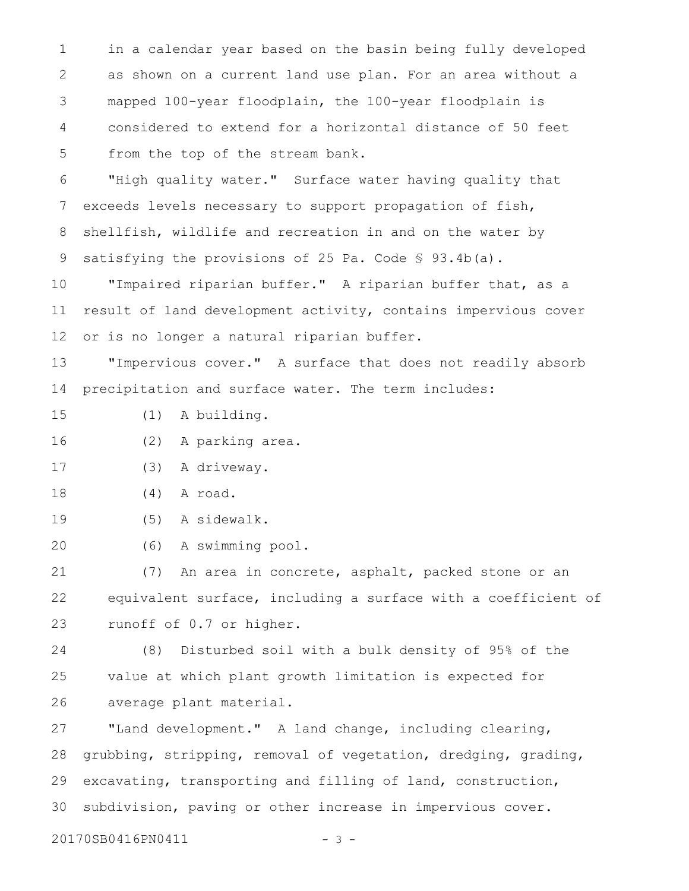in a calendar year based on the basin being fully developed as shown on a current land use plan. For an area without a mapped 100-year floodplain, the 100-year floodplain is considered to extend for a horizontal distance of 50 feet from the top of the stream bank. 1 2 3 4 5

"High quality water." Surface water having quality that exceeds levels necessary to support propagation of fish, shellfish, wildlife and recreation in and on the water by satisfying the provisions of 25 Pa. Code § 93.4b(a). 6 7 8 9

"Impaired riparian buffer." A riparian buffer that, as a result of land development activity, contains impervious cover or is no longer a natural riparian buffer. 10 11 12

"Impervious cover." A surface that does not readily absorb precipitation and surface water. The term includes: 13 14

- (1) A building. 15
- (2) A parking area. 16

(3) A driveway. 17

(4) A road. 18

- (5) A sidewalk. 19
- (6) A swimming pool. 20

(7) An area in concrete, asphalt, packed stone or an equivalent surface, including a surface with a coefficient of runoff of 0.7 or higher. 21 22 23

(8) Disturbed soil with a bulk density of 95% of the value at which plant growth limitation is expected for average plant material. 24 25 26

"Land development." A land change, including clearing, grubbing, stripping, removal of vegetation, dredging, grading, excavating, transporting and filling of land, construction, subdivision, paving or other increase in impervious cover. 27 28 29 30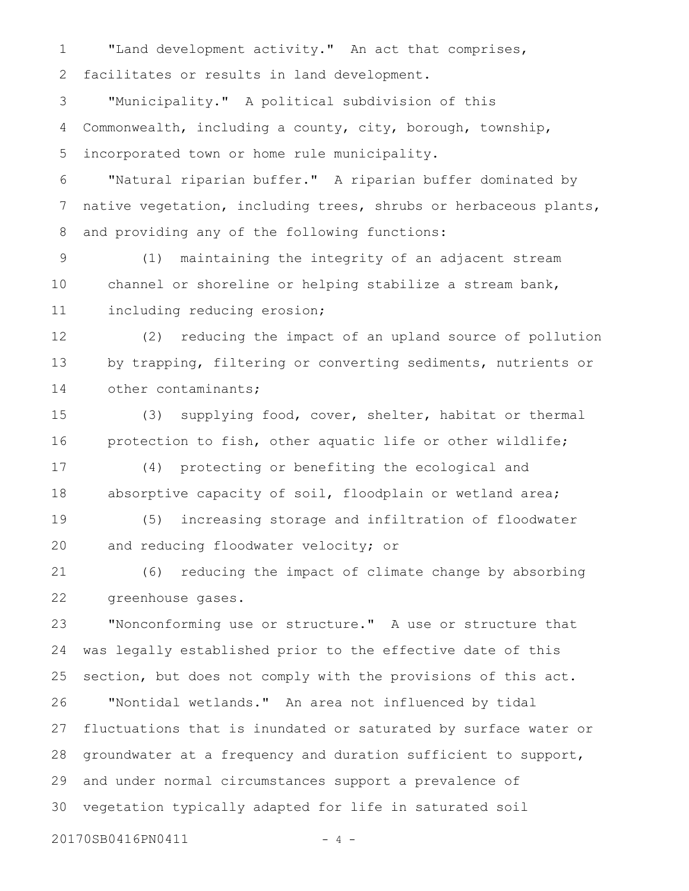"Land development activity." An act that comprises, facilitates or results in land development. 1 2

"Municipality." A political subdivision of this Commonwealth, including a county, city, borough, township, incorporated town or home rule municipality. 3 4 5

"Natural riparian buffer." A riparian buffer dominated by native vegetation, including trees, shrubs or herbaceous plants, and providing any of the following functions: 6 7 8

(1) maintaining the integrity of an adjacent stream channel or shoreline or helping stabilize a stream bank, including reducing erosion; 9 10 11

(2) reducing the impact of an upland source of pollution by trapping, filtering or converting sediments, nutrients or other contaminants; 12 13 14

(3) supplying food, cover, shelter, habitat or thermal protection to fish, other aquatic life or other wildlife; 15 16

(4) protecting or benefiting the ecological and absorptive capacity of soil, floodplain or wetland area; 17 18

(5) increasing storage and infiltration of floodwater and reducing floodwater velocity; or 19 20

(6) reducing the impact of climate change by absorbing greenhouse gases. 21 22

"Nonconforming use or structure." A use or structure that was legally established prior to the effective date of this section, but does not comply with the provisions of this act. "Nontidal wetlands." An area not influenced by tidal fluctuations that is inundated or saturated by surface water or groundwater at a frequency and duration sufficient to support, and under normal circumstances support a prevalence of vegetation typically adapted for life in saturated soil 23 24 25 26 27 28 29 30

20170SB0416PN0411 - 4 -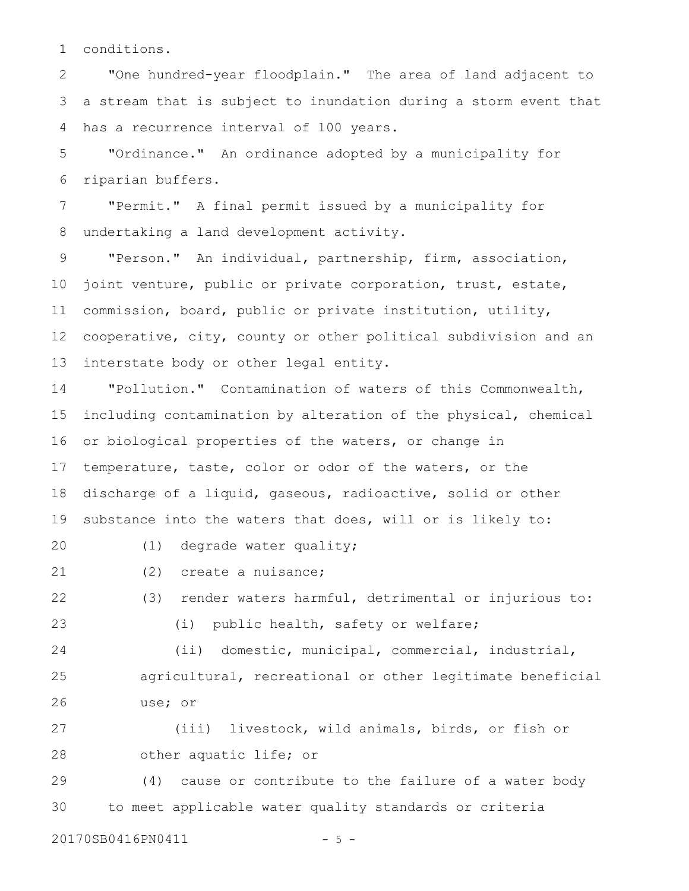conditions. 1

"One hundred-year floodplain." The area of land adjacent to a stream that is subject to inundation during a storm event that has a recurrence interval of 100 years. 2 3 4

"Ordinance." An ordinance adopted by a municipality for riparian buffers. 5 6

"Permit." A final permit issued by a municipality for undertaking a land development activity. 7 8

"Person." An individual, partnership, firm, association, joint venture, public or private corporation, trust, estate, commission, board, public or private institution, utility, cooperative, city, county or other political subdivision and an interstate body or other legal entity. 9 10 11 12 13

"Pollution." Contamination of waters of this Commonwealth, including contamination by alteration of the physical, chemical or biological properties of the waters, or change in temperature, taste, color or odor of the waters, or the discharge of a liquid, gaseous, radioactive, solid or other substance into the waters that does, will or is likely to: 14 15 16 17 18 19

20

(1) degrade water quality;

(2) create a nuisance; 21

(3) render waters harmful, detrimental or injurious to: 22 23

(i) public health, safety or welfare;

(ii) domestic, municipal, commercial, industrial, agricultural, recreational or other legitimate beneficial use; or 24 25 26

(iii) livestock, wild animals, birds, or fish or other aquatic life; or 27 28

(4) cause or contribute to the failure of a water body to meet applicable water quality standards or criteria 29 30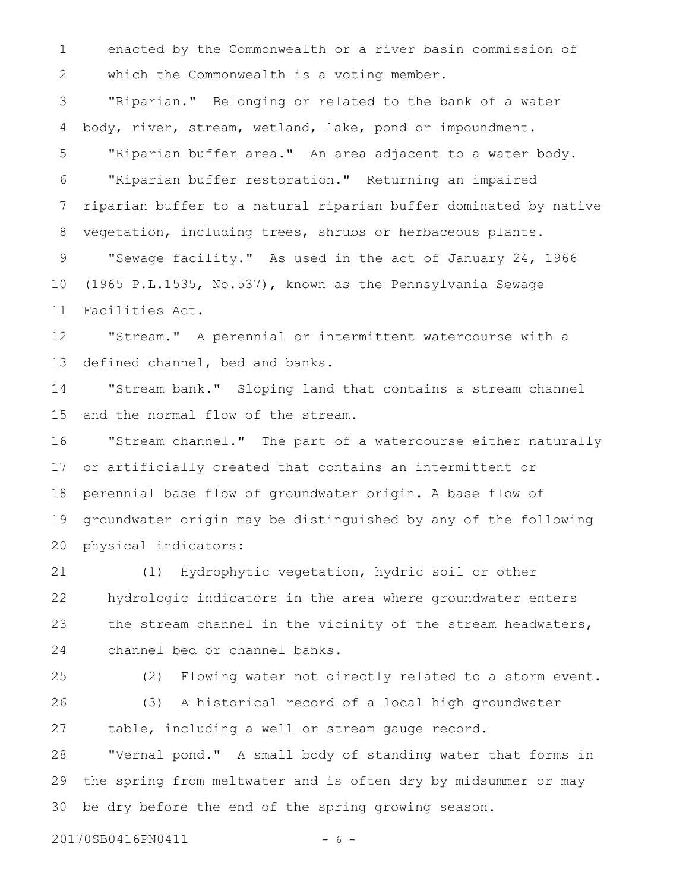enacted by the Commonwealth or a river basin commission of which the Commonwealth is a voting member. 1 2

"Riparian." Belonging or related to the bank of a water body, river, stream, wetland, lake, pond or impoundment. "Riparian buffer area." An area adjacent to a water body. "Riparian buffer restoration." Returning an impaired riparian buffer to a natural riparian buffer dominated by native vegetation, including trees, shrubs or herbaceous plants. "Sewage facility." As used in the act of January 24, 1966 (1965 P.L.1535, No.537), known as the Pennsylvania Sewage Facilities Act. 3 4 5 6 7 8 9 10 11

"Stream." A perennial or intermittent watercourse with a defined channel, bed and banks. 12 13

"Stream bank." Sloping land that contains a stream channel and the normal flow of the stream. 14 15

"Stream channel." The part of a watercourse either naturally or artificially created that contains an intermittent or perennial base flow of groundwater origin. A base flow of groundwater origin may be distinguished by any of the following physical indicators: 16 17 18 19 20

(1) Hydrophytic vegetation, hydric soil or other hydrologic indicators in the area where groundwater enters the stream channel in the vicinity of the stream headwaters, channel bed or channel banks. 21 22 23 24

25

(2) Flowing water not directly related to a storm event.

(3) A historical record of a local high groundwater table, including a well or stream gauge record. 26 27 28

"Vernal pond." A small body of standing water that forms in the spring from meltwater and is often dry by midsummer or may be dry before the end of the spring growing season. 29 30

20170SB0416PN0411 - 6 -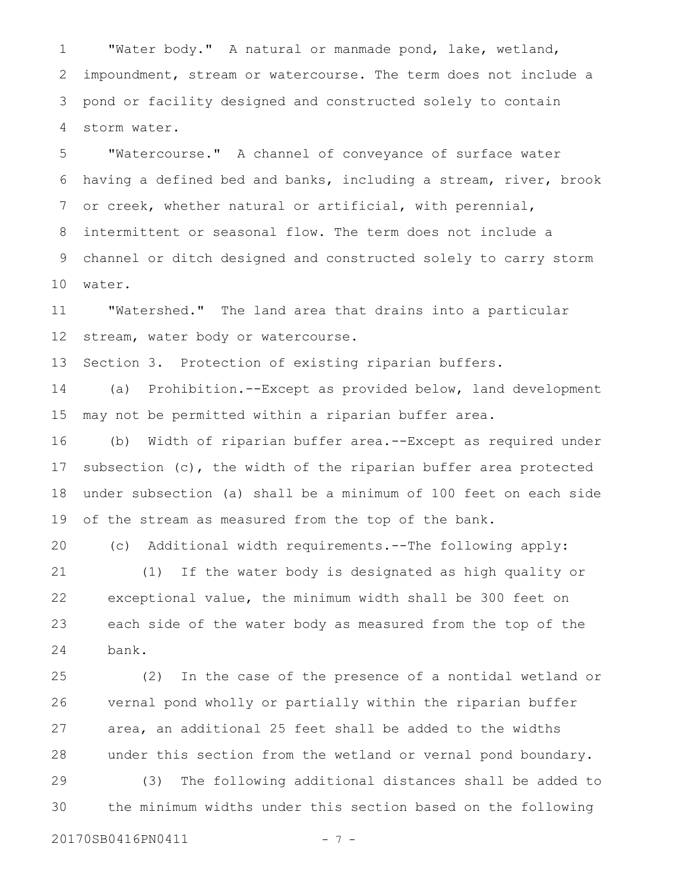"Water body." A natural or manmade pond, lake, wetland, impoundment, stream or watercourse. The term does not include a pond or facility designed and constructed solely to contain storm water. 1 2 3 4

"Watercourse." A channel of conveyance of surface water having a defined bed and banks, including a stream, river, brook or creek, whether natural or artificial, with perennial, intermittent or seasonal flow. The term does not include a channel or ditch designed and constructed solely to carry storm water. 5 6 7 8 9 10

"Watershed." The land area that drains into a particular stream, water body or watercourse. 11 12

Section 3. Protection of existing riparian buffers. 13

(a) Prohibition.--Except as provided below, land development may not be permitted within a riparian buffer area. 14 15

(b) Width of riparian buffer area.--Except as required under subsection (c), the width of the riparian buffer area protected under subsection (a) shall be a minimum of 100 feet on each side of the stream as measured from the top of the bank. 16 17 18 19

(c) Additional width requirements.--The following apply: 20

(1) If the water body is designated as high quality or exceptional value, the minimum width shall be 300 feet on each side of the water body as measured from the top of the bank. 21 22 23 24

(2) In the case of the presence of a nontidal wetland or vernal pond wholly or partially within the riparian buffer area, an additional 25 feet shall be added to the widths under this section from the wetland or vernal pond boundary. 25 26 27 28

(3) The following additional distances shall be added to the minimum widths under this section based on the following 29 30

20170SB0416PN0411 - 7 -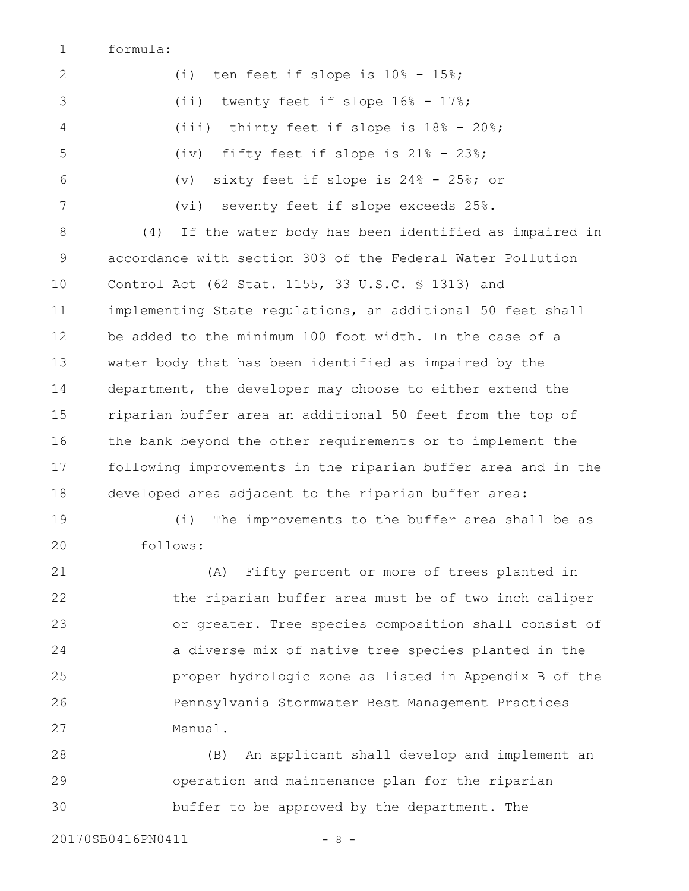formula: 1

(i) ten feet if slope is 10% - 15%; (ii) twenty feet if slope 16% - 17%; (iii) thirty feet if slope is 18% - 20%; (iv) fifty feet if slope is 21% - 23%; (v) sixty feet if slope is 24% - 25%; or (vi) seventy feet if slope exceeds 25%. (4) If the water body has been identified as impaired in accordance with section 303 of the Federal Water Pollution Control Act (62 Stat. 1155, 33 U.S.C. § 1313) and implementing State regulations, an additional 50 feet shall be added to the minimum 100 foot width. In the case of a water body that has been identified as impaired by the department, the developer may choose to either extend the riparian buffer area an additional 50 feet from the top of the bank beyond the other requirements or to implement the following improvements in the riparian buffer area and in the developed area adjacent to the riparian buffer area: (i) The improvements to the buffer area shall be as follows: 2 3 4 5 6 7 8 9 10 11 12 13 14 15 16 17 18 19 20

(A) Fifty percent or more of trees planted in the riparian buffer area must be of two inch caliper or greater. Tree species composition shall consist of a diverse mix of native tree species planted in the proper hydrologic zone as listed in Appendix B of the Pennsylvania Stormwater Best Management Practices Manual. 21 22 23 24 25 26 27

(B) An applicant shall develop and implement an operation and maintenance plan for the riparian buffer to be approved by the department. The 28 29 30

20170SB0416PN0411 - 8 -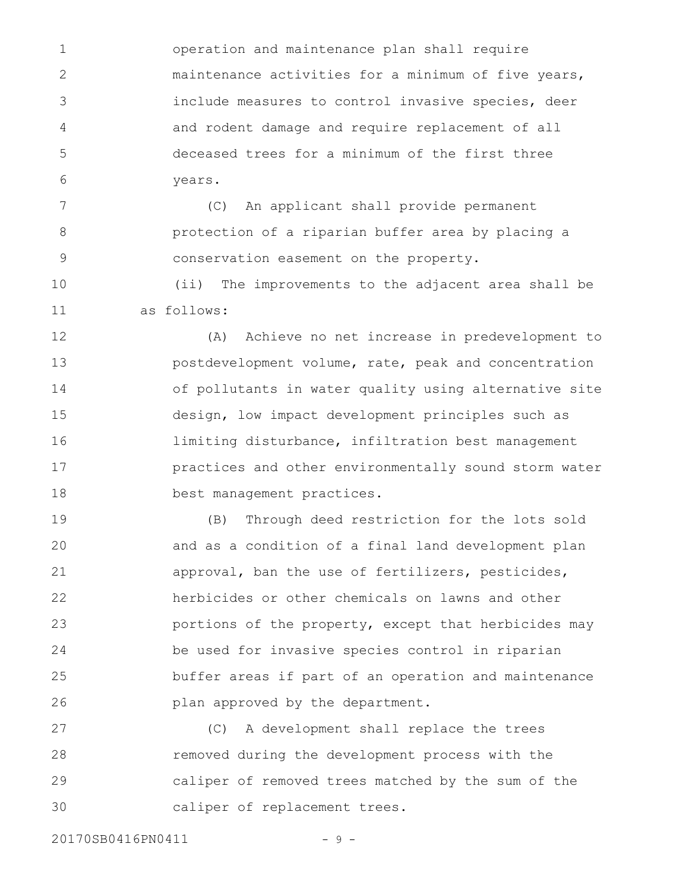operation and maintenance plan shall require maintenance activities for a minimum of five years, include measures to control invasive species, deer and rodent damage and require replacement of all deceased trees for a minimum of the first three years. 1 2 3 4 5 6

(C) An applicant shall provide permanent protection of a riparian buffer area by placing a conservation easement on the property. 7 8 9

(ii) The improvements to the adjacent area shall be as follows: 10 11

(A) Achieve no net increase in predevelopment to postdevelopment volume, rate, peak and concentration of pollutants in water quality using alternative site design, low impact development principles such as limiting disturbance, infiltration best management practices and other environmentally sound storm water best management practices. 12 13 14 15 16 17 18

(B) Through deed restriction for the lots sold and as a condition of a final land development plan approval, ban the use of fertilizers, pesticides, herbicides or other chemicals on lawns and other portions of the property, except that herbicides may be used for invasive species control in riparian buffer areas if part of an operation and maintenance plan approved by the department. 19 20 21 22 23 24 25 26

(C) A development shall replace the trees removed during the development process with the caliper of removed trees matched by the sum of the caliper of replacement trees. 27 28 29 30

20170SB0416PN0411 - 9 -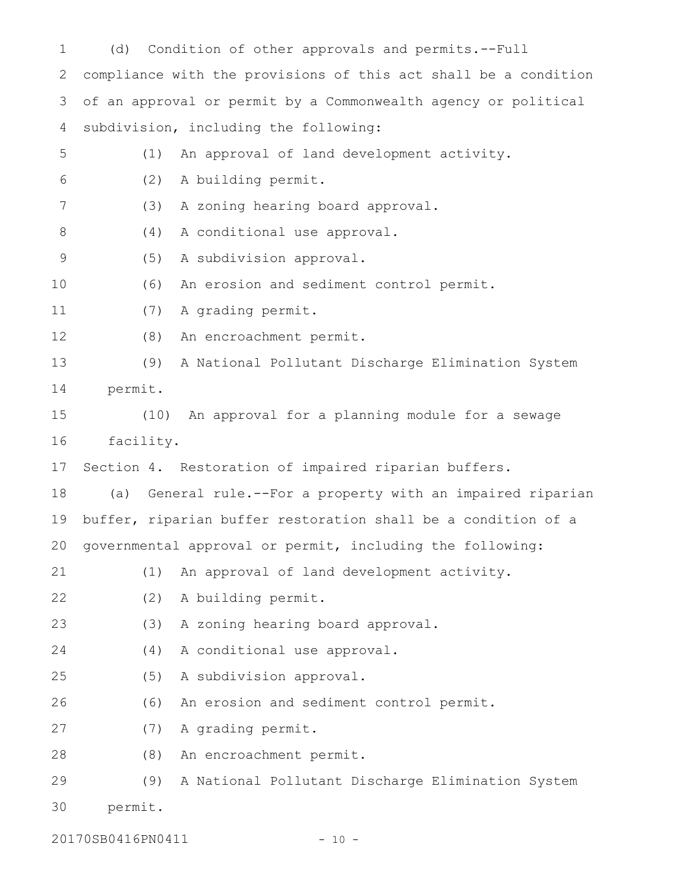(d) Condition of other approvals and permits.--Full compliance with the provisions of this act shall be a condition of an approval or permit by a Commonwealth agency or political subdivision, including the following: (1) An approval of land development activity. (2) A building permit. (3) A zoning hearing board approval. (4) A conditional use approval. (5) A subdivision approval. (6) An erosion and sediment control permit. (7) A grading permit. (8) An encroachment permit. (9) A National Pollutant Discharge Elimination System permit. (10) An approval for a planning module for a sewage facility. Section 4. Restoration of impaired riparian buffers. (a) General rule.--For a property with an impaired riparian buffer, riparian buffer restoration shall be a condition of a governmental approval or permit, including the following: (1) An approval of land development activity. (2) A building permit. (3) A zoning hearing board approval. (4) A conditional use approval. (5) A subdivision approval. (6) An erosion and sediment control permit. (7) A grading permit. (8) An encroachment permit. (9) A National Pollutant Discharge Elimination System permit. 1 2 3 4 5 6 7 8 9 10 11 12 13 14 15 16 17 18 19 20 21 22 23 24 25 26 27 28 29 30

20170SB0416PN0411 - 10 -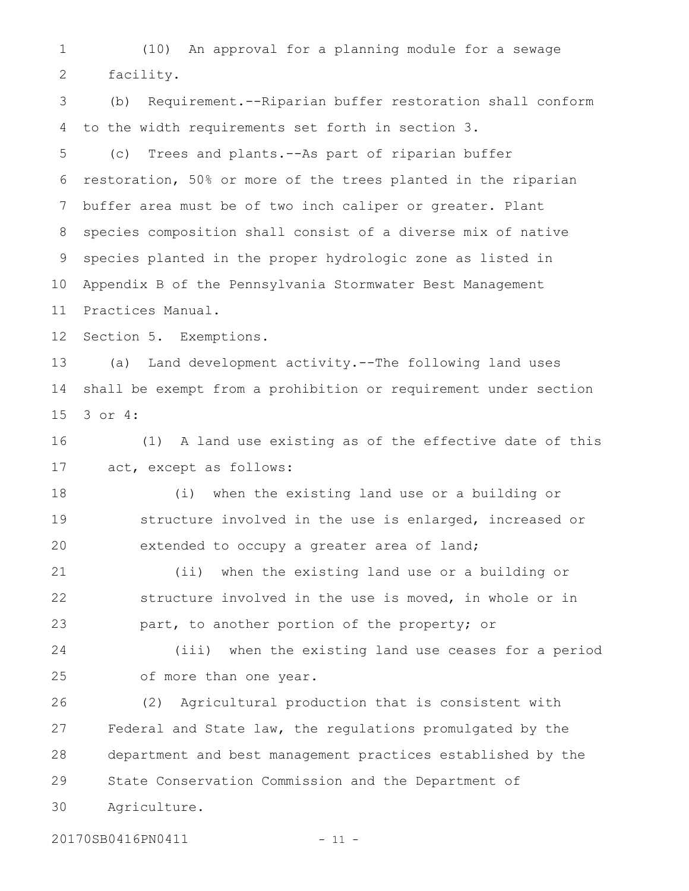(10) An approval for a planning module for a sewage facility. 1 2

(b) Requirement.--Riparian buffer restoration shall conform to the width requirements set forth in section 3. 3 4

(c) Trees and plants.--As part of riparian buffer restoration, 50% or more of the trees planted in the riparian buffer area must be of two inch caliper or greater. Plant species composition shall consist of a diverse mix of native species planted in the proper hydrologic zone as listed in Appendix B of the Pennsylvania Stormwater Best Management Practices Manual. 5 6 7 8 9 10 11

Section 5. Exemptions. 12

(a) Land development activity.--The following land uses shall be exempt from a prohibition or requirement under section 3 or 4: 13 14 15

(1) A land use existing as of the effective date of this act, except as follows: 16 17

(i) when the existing land use or a building or structure involved in the use is enlarged, increased or extended to occupy a greater area of land; 18 19 20

(ii) when the existing land use or a building or structure involved in the use is moved, in whole or in part, to another portion of the property; or 21 22 23

(iii) when the existing land use ceases for a period of more than one year. 24 25

(2) Agricultural production that is consistent with Federal and State law, the regulations promulgated by the department and best management practices established by the State Conservation Commission and the Department of Agriculture. 26 27 28 29 30

20170SB0416PN0411 - 11 -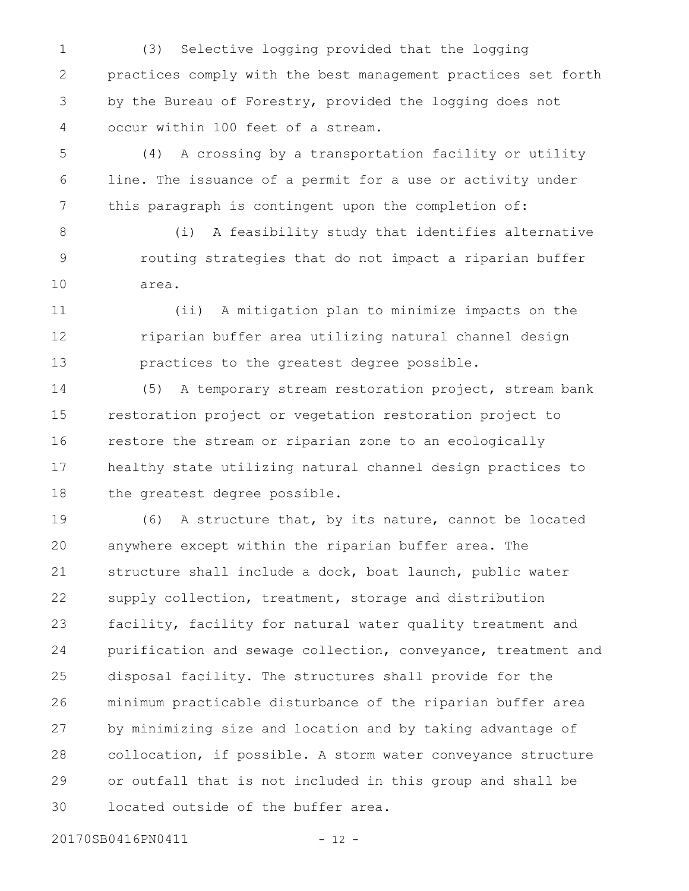(3) Selective logging provided that the logging practices comply with the best management practices set forth by the Bureau of Forestry, provided the logging does not occur within 100 feet of a stream. 1 2 3 4

(4) A crossing by a transportation facility or utility line. The issuance of a permit for a use or activity under this paragraph is contingent upon the completion of: 5 6 7

(i) A feasibility study that identifies alternative routing strategies that do not impact a riparian buffer area. 8 9 10

(ii) A mitigation plan to minimize impacts on the riparian buffer area utilizing natural channel design practices to the greatest degree possible. 11 12 13

(5) A temporary stream restoration project, stream bank restoration project or vegetation restoration project to restore the stream or riparian zone to an ecologically healthy state utilizing natural channel design practices to the greatest degree possible. 14 15 16 17 18

(6) A structure that, by its nature, cannot be located anywhere except within the riparian buffer area. The structure shall include a dock, boat launch, public water supply collection, treatment, storage and distribution facility, facility for natural water quality treatment and purification and sewage collection, conveyance, treatment and disposal facility. The structures shall provide for the minimum practicable disturbance of the riparian buffer area by minimizing size and location and by taking advantage of collocation, if possible. A storm water conveyance structure or outfall that is not included in this group and shall be located outside of the buffer area. 19 20 21 22 23 24 25 26 27 28 29 30

20170SB0416PN0411 - 12 -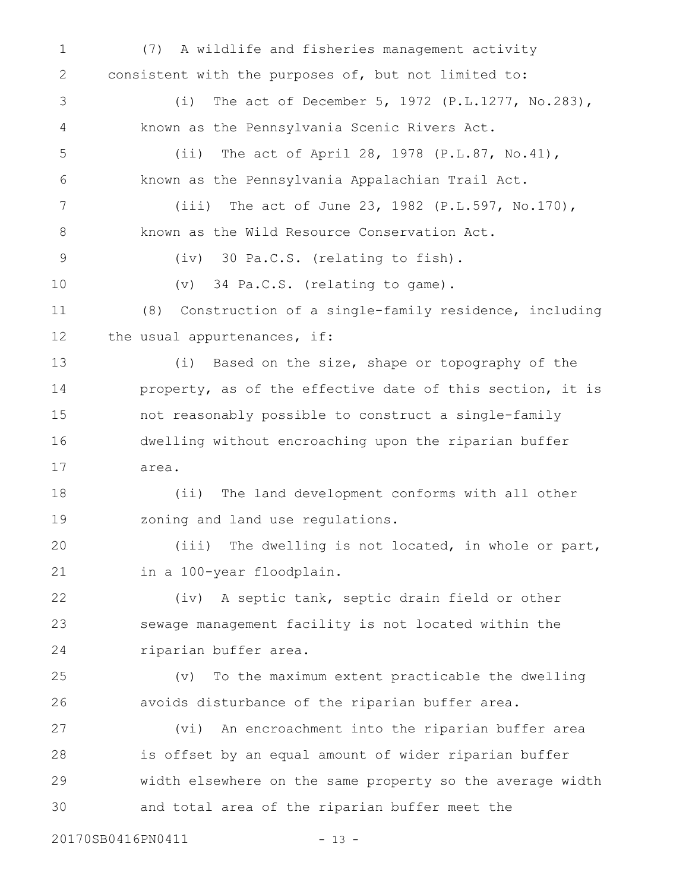(7) A wildlife and fisheries management activity consistent with the purposes of, but not limited to: (i) The act of December 5, 1972 (P.L.1277, No.283), known as the Pennsylvania Scenic Rivers Act. (ii) The act of April 28, 1978 (P.L.87, No.41), known as the Pennsylvania Appalachian Trail Act. (iii) The act of June 23, 1982 (P.L.597, No.170), known as the Wild Resource Conservation Act. (iv) 30 Pa.C.S. (relating to fish). (v) 34 Pa.C.S. (relating to game). (8) Construction of a single-family residence, including the usual appurtenances, if: (i) Based on the size, shape or topography of the property, as of the effective date of this section, it is not reasonably possible to construct a single-family dwelling without encroaching upon the riparian buffer area. (ii) The land development conforms with all other zoning and land use regulations. (iii) The dwelling is not located, in whole or part, in a 100-year floodplain. (iv) A septic tank, septic drain field or other sewage management facility is not located within the riparian buffer area. (v) To the maximum extent practicable the dwelling avoids disturbance of the riparian buffer area. (vi) An encroachment into the riparian buffer area is offset by an equal amount of wider riparian buffer width elsewhere on the same property so the average width and total area of the riparian buffer meet the 20170SB0416PN0411 - 13 -1 2 3 4 5 6 7 8 9 10 11 12 13 14 15 16 17 18 19 20 21 22 23 24 25 26 27 28 29 30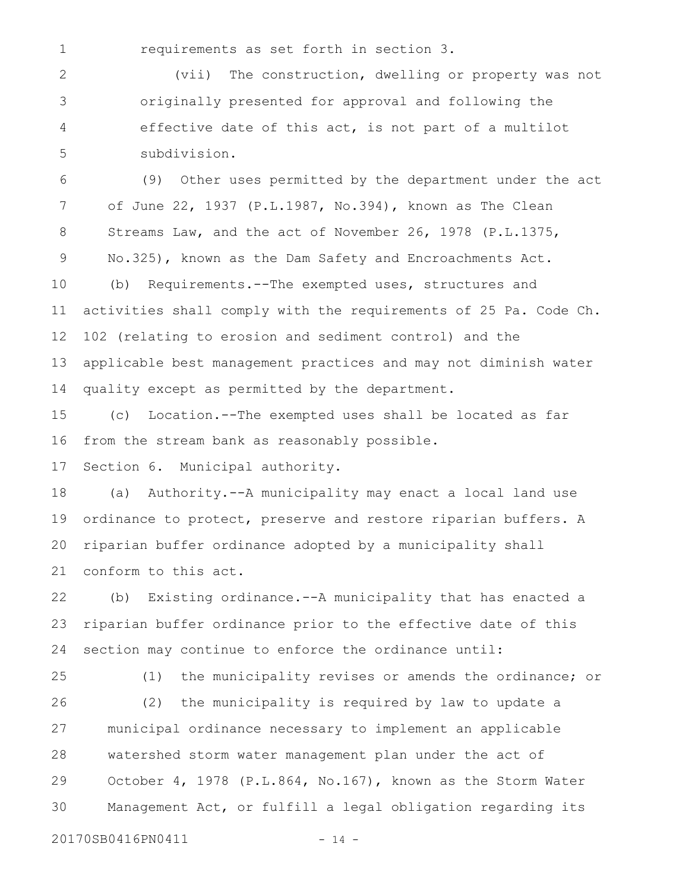1

requirements as set forth in section 3.

(vii) The construction, dwelling or property was not originally presented for approval and following the effective date of this act, is not part of a multilot subdivision. 2 3 4 5

(9) Other uses permitted by the department under the act of June 22, 1937 (P.L.1987, No.394), known as The Clean Streams Law, and the act of November 26, 1978 (P.L.1375, No.325), known as the Dam Safety and Encroachments Act. (b) Requirements.--The exempted uses, structures and activities shall comply with the requirements of 25 Pa. Code Ch. 102 (relating to erosion and sediment control) and the applicable best management practices and may not diminish water quality except as permitted by the department. 6 7 8 9 10 11 12 13 14

(c) Location.--The exempted uses shall be located as far from the stream bank as reasonably possible. 15 16

Section 6. Municipal authority. 17

(a) Authority.--A municipality may enact a local land use ordinance to protect, preserve and restore riparian buffers. A riparian buffer ordinance adopted by a municipality shall conform to this act. 18 19 20 21

(b) Existing ordinance.--A municipality that has enacted a riparian buffer ordinance prior to the effective date of this section may continue to enforce the ordinance until: 22 23 24

25

(1) the municipality revises or amends the ordinance; or

(2) the municipality is required by law to update a municipal ordinance necessary to implement an applicable watershed storm water management plan under the act of October 4, 1978 (P.L.864, No.167), known as the Storm Water Management Act, or fulfill a legal obligation regarding its 26 27 28 29 30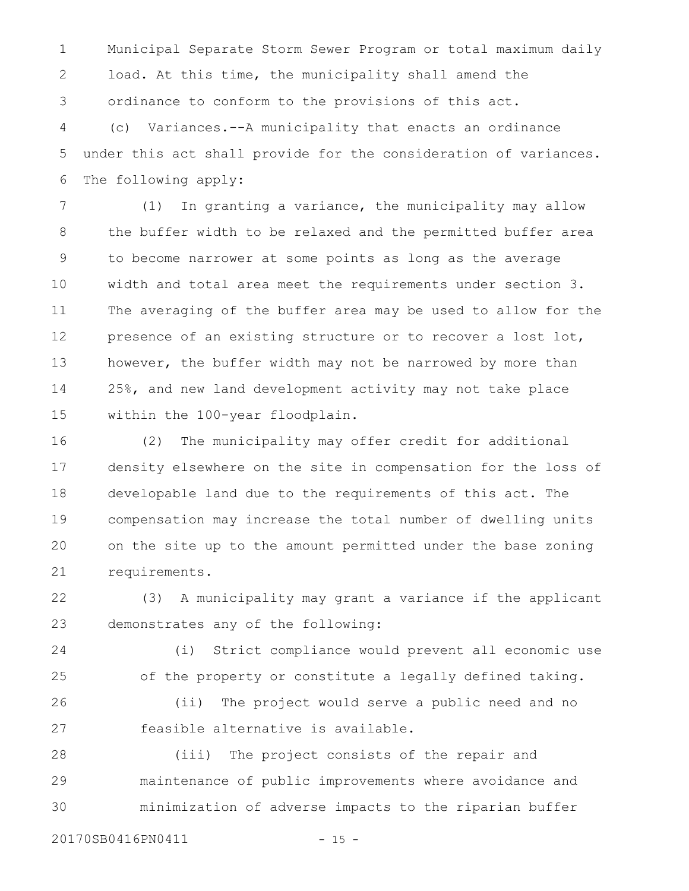Municipal Separate Storm Sewer Program or total maximum daily load. At this time, the municipality shall amend the ordinance to conform to the provisions of this act. (c) Variances.--A municipality that enacts an ordinance under this act shall provide for the consideration of variances. The following apply: 1 2 3 4 5 6

(1) In granting a variance, the municipality may allow the buffer width to be relaxed and the permitted buffer area to become narrower at some points as long as the average width and total area meet the requirements under section 3. The averaging of the buffer area may be used to allow for the presence of an existing structure or to recover a lost lot, however, the buffer width may not be narrowed by more than 25%, and new land development activity may not take place within the 100-year floodplain. 7 8 9 10 11 12 13 14 15

(2) The municipality may offer credit for additional density elsewhere on the site in compensation for the loss of developable land due to the requirements of this act. The compensation may increase the total number of dwelling units on the site up to the amount permitted under the base zoning requirements. 16 17 18 19 20 21

(3) A municipality may grant a variance if the applicant demonstrates any of the following: 22 23

(i) Strict compliance would prevent all economic use of the property or constitute a legally defined taking. (ii) The project would serve a public need and no 24 25 26

feasible alternative is available. 27

(iii) The project consists of the repair and maintenance of public improvements where avoidance and minimization of adverse impacts to the riparian buffer 28 29 30

20170SB0416PN0411 - 15 -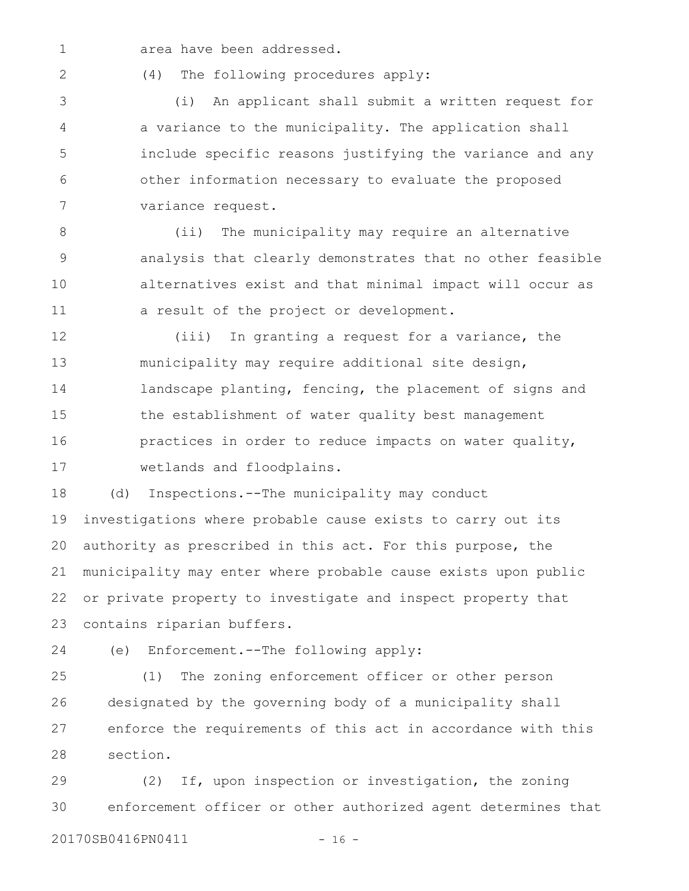area have been addressed. 1

2

(4) The following procedures apply:

(i) An applicant shall submit a written request for a variance to the municipality. The application shall include specific reasons justifying the variance and any other information necessary to evaluate the proposed variance request. 3 4 5 6 7

(ii) The municipality may require an alternative analysis that clearly demonstrates that no other feasible alternatives exist and that minimal impact will occur as a result of the project or development. 8 9 10 11

(iii) In granting a request for a variance, the municipality may require additional site design, landscape planting, fencing, the placement of signs and the establishment of water quality best management practices in order to reduce impacts on water quality, wetlands and floodplains. 12 13 14 15 16 17

(d) Inspections.--The municipality may conduct investigations where probable cause exists to carry out its authority as prescribed in this act. For this purpose, the municipality may enter where probable cause exists upon public or private property to investigate and inspect property that contains riparian buffers. 18 19 20 21 22 23

24

(e) Enforcement.--The following apply:

(1) The zoning enforcement officer or other person designated by the governing body of a municipality shall enforce the requirements of this act in accordance with this section. 25 26 27 28

(2) If, upon inspection or investigation, the zoning enforcement officer or other authorized agent determines that 20170SB0416PN0411 - 16 -29 30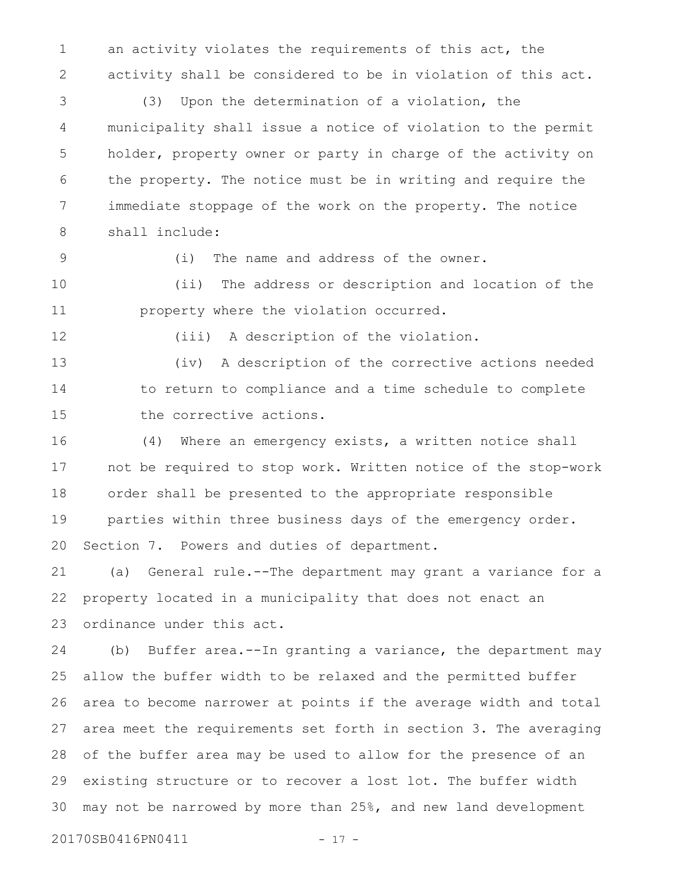an activity violates the requirements of this act, the activity shall be considered to be in violation of this act. 1 2

(3) Upon the determination of a violation, the municipality shall issue a notice of violation to the permit holder, property owner or party in charge of the activity on the property. The notice must be in writing and require the immediate stoppage of the work on the property. The notice shall include: 3 4 5 6 7 8

9

(i) The name and address of the owner.

(ii) The address or description and location of the property where the violation occurred. 10 11

12

(iii) A description of the violation.

(iv) A description of the corrective actions needed to return to compliance and a time schedule to complete the corrective actions. 13 14 15

(4) Where an emergency exists, a written notice shall not be required to stop work. Written notice of the stop-work order shall be presented to the appropriate responsible parties within three business days of the emergency order. Section 7. Powers and duties of department. 16 17 18 19 20

(a) General rule.--The department may grant a variance for a property located in a municipality that does not enact an ordinance under this act. 21 22 23

(b) Buffer area.--In granting a variance, the department may allow the buffer width to be relaxed and the permitted buffer area to become narrower at points if the average width and total area meet the requirements set forth in section 3. The averaging of the buffer area may be used to allow for the presence of an existing structure or to recover a lost lot. The buffer width may not be narrowed by more than 25%, and new land development 24 25 26 27 28 29 30

20170SB0416PN0411 - 17 -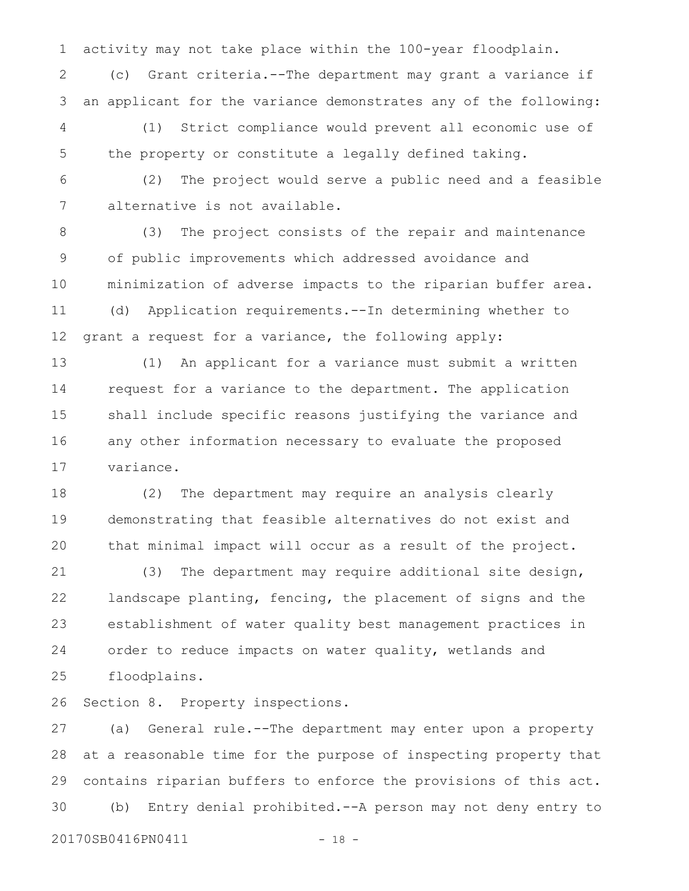activity may not take place within the 100-year floodplain. 1

(c) Grant criteria.--The department may grant a variance if an applicant for the variance demonstrates any of the following: 2 3

(1) Strict compliance would prevent all economic use of the property or constitute a legally defined taking. 4 5

(2) The project would serve a public need and a feasible alternative is not available. 6 7

(3) The project consists of the repair and maintenance of public improvements which addressed avoidance and minimization of adverse impacts to the riparian buffer area. (d) Application requirements.--In determining whether to grant a request for a variance, the following apply: 8 9 10 11 12

(1) An applicant for a variance must submit a written request for a variance to the department. The application shall include specific reasons justifying the variance and any other information necessary to evaluate the proposed variance. 13 14 15 16 17

(2) The department may require an analysis clearly demonstrating that feasible alternatives do not exist and that minimal impact will occur as a result of the project. 18 19 20

(3) The department may require additional site design, landscape planting, fencing, the placement of signs and the establishment of water quality best management practices in order to reduce impacts on water quality, wetlands and floodplains. 21 22 23 24 25

Section 8. Property inspections. 26

(a) General rule.--The department may enter upon a property at a reasonable time for the purpose of inspecting property that contains riparian buffers to enforce the provisions of this act. (b) Entry denial prohibited.--A person may not deny entry to 20170SB0416PN0411 - 18 -27 28 29 30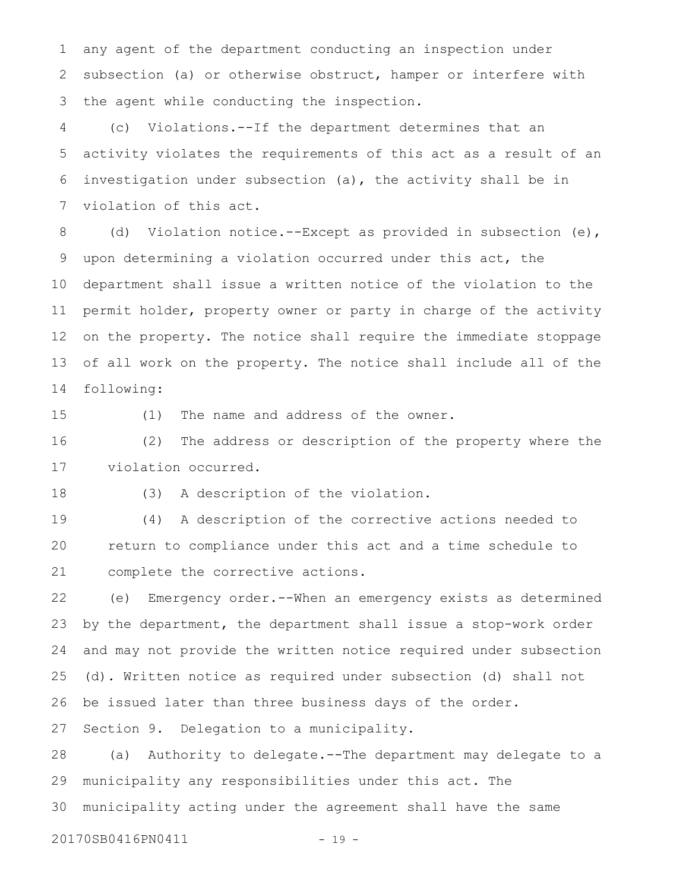any agent of the department conducting an inspection under subsection (a) or otherwise obstruct, hamper or interfere with the agent while conducting the inspection. 1 2 3

(c) Violations.--If the department determines that an activity violates the requirements of this act as a result of an investigation under subsection (a), the activity shall be in violation of this act. 4 5 6 7

(d) Violation notice.--Except as provided in subsection (e), upon determining a violation occurred under this act, the department shall issue a written notice of the violation to the permit holder, property owner or party in charge of the activity on the property. The notice shall require the immediate stoppage of all work on the property. The notice shall include all of the following: 8 9 10 11 12 13 14

15

(1) The name and address of the owner.

(2) The address or description of the property where the violation occurred. 16 17

18

(3) A description of the violation.

(4) A description of the corrective actions needed to return to compliance under this act and a time schedule to complete the corrective actions. 19 20 21

(e) Emergency order.--When an emergency exists as determined by the department, the department shall issue a stop-work order and may not provide the written notice required under subsection (d). Written notice as required under subsection (d) shall not be issued later than three business days of the order. Section 9. Delegation to a municipality. 22 23 24 25 26 27

(a) Authority to delegate.--The department may delegate to a municipality any responsibilities under this act. The municipality acting under the agreement shall have the same 28 29 30

20170SB0416PN0411 - 19 -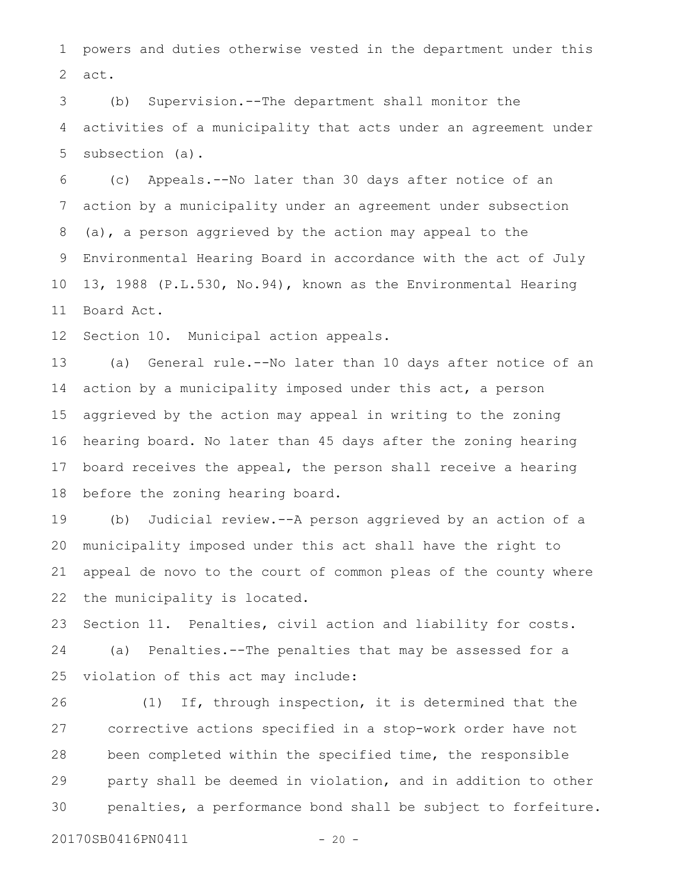powers and duties otherwise vested in the department under this act. 1 2

(b) Supervision.--The department shall monitor the activities of a municipality that acts under an agreement under subsection (a). 3 4 5

(c) Appeals.--No later than 30 days after notice of an action by a municipality under an agreement under subsection (a), a person aggrieved by the action may appeal to the Environmental Hearing Board in accordance with the act of July 13, 1988 (P.L.530, No.94), known as the Environmental Hearing Board Act. 6 7 8 9 10 11

Section 10. Municipal action appeals. 12

(a) General rule.--No later than 10 days after notice of an action by a municipality imposed under this act, a person aggrieved by the action may appeal in writing to the zoning hearing board. No later than 45 days after the zoning hearing board receives the appeal, the person shall receive a hearing before the zoning hearing board. 13 14 15 16 17 18

(b) Judicial review.--A person aggrieved by an action of a municipality imposed under this act shall have the right to appeal de novo to the court of common pleas of the county where the municipality is located. 19 20 21 22

Section 11. Penalties, civil action and liability for costs. (a) Penalties.--The penalties that may be assessed for a violation of this act may include: 23 24 25

(1) If, through inspection, it is determined that the corrective actions specified in a stop-work order have not been completed within the specified time, the responsible party shall be deemed in violation, and in addition to other penalties, a performance bond shall be subject to forfeiture. 26 27 28 29 30

20170SB0416PN0411 - 20 -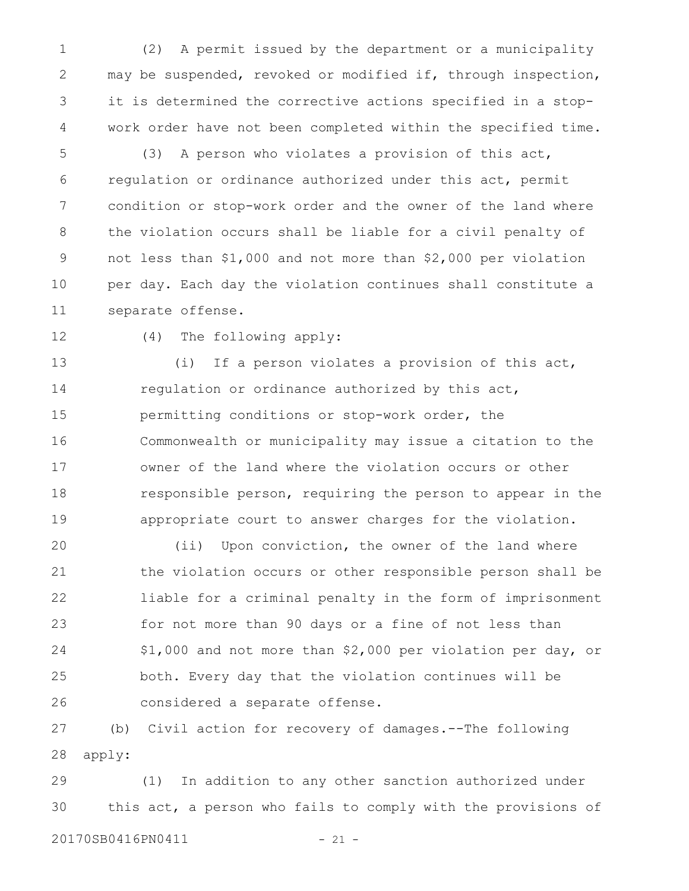(2) A permit issued by the department or a municipality may be suspended, revoked or modified if, through inspection, it is determined the corrective actions specified in a stopwork order have not been completed within the specified time. 1 2 3 4

(3) A person who violates a provision of this act, regulation or ordinance authorized under this act, permit condition or stop-work order and the owner of the land where the violation occurs shall be liable for a civil penalty of not less than \$1,000 and not more than \$2,000 per violation per day. Each day the violation continues shall constitute a separate offense. 5 6 7 8 9 10 11

12

(4) The following apply:

(i) If a person violates a provision of this act, regulation or ordinance authorized by this act, permitting conditions or stop-work order, the Commonwealth or municipality may issue a citation to the owner of the land where the violation occurs or other responsible person, requiring the person to appear in the appropriate court to answer charges for the violation. 13 14 15 16 17 18 19

(ii) Upon conviction, the owner of the land where the violation occurs or other responsible person shall be liable for a criminal penalty in the form of imprisonment for not more than 90 days or a fine of not less than \$1,000 and not more than \$2,000 per violation per day, or both. Every day that the violation continues will be considered a separate offense. 20 21 22 23 24 25 26

(b) Civil action for recovery of damages.--The following apply: 27 28

(1) In addition to any other sanction authorized under this act, a person who fails to comply with the provisions of 20170SB0416PN0411 - 21 -29 30